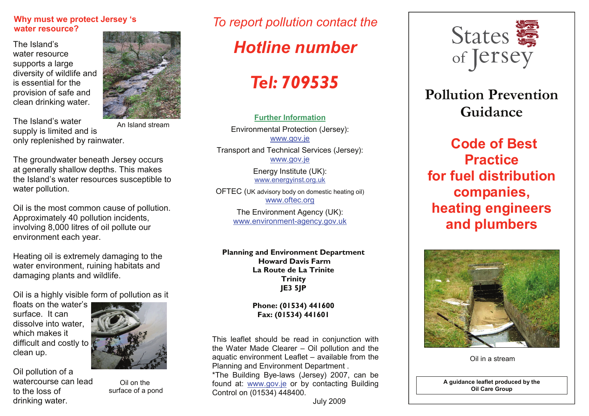#### **Why must we protect Jersey 's water resource?**

The Island's water resource supports a large diversity of wildlife and is essential for the provision of safe and clean drinking water.



The Island's water supply is limited and is only replenished by rainwater. An Island stream

The groundwater beneath Jersey occurs at generally shallow depths. This makes the Island's water resources susceptible to water pollution.

Oil is the most common cause of pollution. Approximately 40 pollution incidents, involving 8,000 litres of oil pollute our environment each year.

Heating oil is extremely damaging to the water environment, ruining habitats and damaging plants and wildlife.

Oil is a highly visible form of pollution as it

floats on the water's surface. It can dissolve into water, which makes it difficult and costly to clean up.

Oil pollution of a watercourse can lead

to the loss of drinking water.



Oil on the

### *To report pollution contact the*

## *Hotline number*

# *Tel: 709535*

**Further Information**Environmental Protection (Jersey): www.gov.je Transport and Technical Services (Jersey):

www.gov.je Energy Institute (UK):

www.energyinst.org.uk

OFTEC (UK advisory body on domestic heating oil) www.oftec.org

> The Environment Agency (UK): www.environment-agency.gov.uk

**Planning and Environment Department Howard Davis Farm La Route de La Trinite Trinity JE3 5JP** 

#### **Phone: (01534) 441600 Fax: (01534) 441601**

This leaflet should be read in conjunction with the Water Made Clearer – Oil pollution and the aquatic environment Leaflet – available from the Planning and Environment Department . \*The Building Bye-laws (Jersey) 2007, can be found at: www.gov.je or by contacting Building Control on (01534) 448400.





## **Pollution Prevention Guidance**

**Code of Best Practice for fuel distribution companies, heating engineers and plumbers**



Oil in a stream

**A guidance leaflet produced by the Oil Care Group** 

surface of a pond